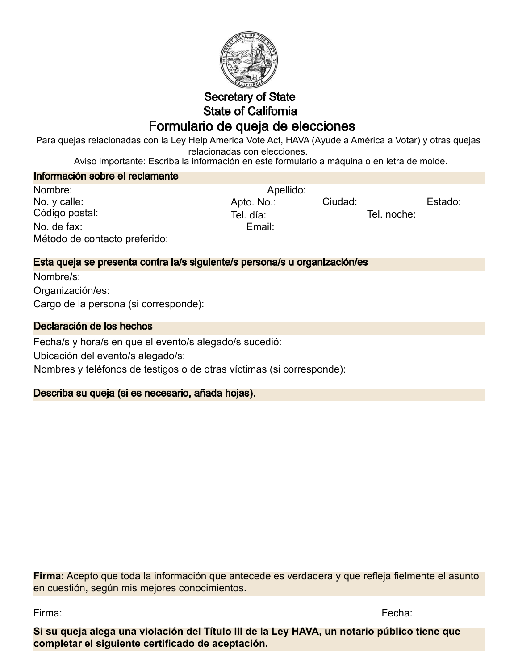

# Secretary of State State of California Formulario de queja de elecciones

Para quejas relacionadas con la Ley Help America Vote Act, HAVA (Ayude a América a Votar) y otras quejas relacionadas con elecciones.

Aviso importante: Escriba la información en este formulario a máquina o en letra de molde.

Información sobre el reclamante

| Nombre:                       | Apellido:  |         |             |         |
|-------------------------------|------------|---------|-------------|---------|
| No. y calle:                  | Apto. No.: | Ciudad: |             | Estado: |
| Código postal:                | Tel. día:  |         | Tel. noche: |         |
| No. de fax:                   | Email:     |         |             |         |
| Método de contacto preferido: |            |         |             |         |

## Esta queja se presenta contra la/s siguiente/s persona/s u organización/es

Nombre/s: Cargo de la persona (si corresponde): Organización/es:

#### Declaración de los hechos

Fecha/s y hora/s en que el evento/s alegado/s sucedió: Ubicación del evento/s alegado/s: Nombres y teléfonos de testigos o de otras víctimas (si corresponde):

## Describa su queja (si es necesario, añada hojas).

**Firma:** Acepto que toda la información que antecede es verdadera y que refleja fielmente el asunto en cuestión, según mis mejores conocimientos.

Firma: Fecha:

**Si su queja alega una violación del Título III de la Ley HAVA, un notario público tiene que completar el siguiente certificado de aceptación.**